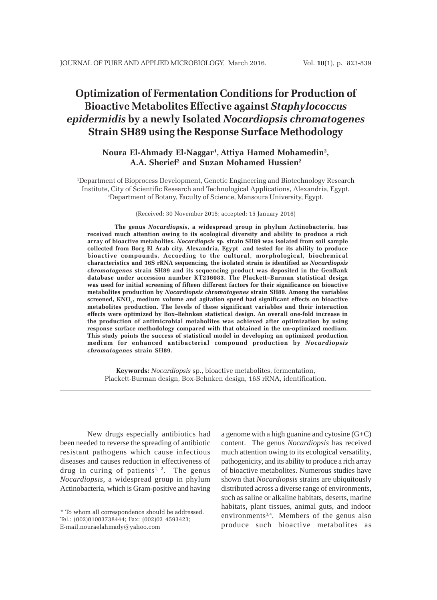# **Optimization of Fermentation Conditions for Production of Bioactive Metabolites Effective against** *Staphylococcus epidermidis* **by a newly Isolated** *Nocardiopsis chromatogenes* **Strain SH89 using the Response Surface Methodology**

# **Noura El-Ahmady El-Naggar1 , Attiya Hamed Mohamedin2 , A.A. Sherief2 and Suzan Mohamed Hussien2**

1 Department of Bioprocess Development, Genetic Engineering and Biotechnology Research Institute, City of Scientific Research and Technological Applications, Alexandria, Egypt. 2 Department of Botany, Faculty of Science, Mansoura University, Egypt.

#### (Received: 30 November 2015; accepted: 15 January 2016)

**The genus** *Nocardiopsis***, a widespread group in phylum Actinobacteria, has received much attention owing to its ecological diversity and ability to produce a rich array of bioactive metabolites.** *Nocardiopsis* **sp. strain SH89 was isolated from soil sample collected from Borg El Arab city, Alexandria, Egypt and tested for its ability to produce bioactive compounds. According to the cultural, morphological, biochemical characteristics and 16S rRNA sequencing, the isolated strain is identified as** *Nocardiopsis chromatogenes* **strain SH89 and its sequencing product was deposited in the GenBank database under accession number KT236083. The Plackett–Burman statistical design was used for initial screening of fifteen different factors for their significance on bioactive metabolites production by** *Nocardiopsis chromatogenes* **strain SH89. Among the variables** screened, KNO<sub>3</sub>, medium volume and agitation speed had significant effects on bioactive **metabolites production. The levels of these significant variables and their interaction effects were optimized by Box–Behnken statistical design. An overall one-fold increase in the production of antimicrobial metabolites was achieved after optimization by using response surface methodology compared with that obtained in the un-optimized medium. This study points the success of statistical model in developing an optimized production medium for enhanced antibacterial compound production by** *Nocardiopsis chromatogenes* **strain SH89.**

**Keywords:** *Nocardiopsis* sp., bioactive metabolites, fermentation, Plackett-Burman design, Box-Behnken design, 16S rRNA, identification.

New drugs especially antibiotics had been needed to reverse the spreading of antibiotic resistant pathogens which cause infectious diseases and causes reduction in effectiveness of drug in curing of patients<sup>1, 2</sup>. The genus *Nocardiopsis*, a widespread group in phylum Actinobacteria, which is Gram-positive and having

a genome with a high guanine and cytosine  $(G+C)$ content. The genus *Nocardiopsis* has received much attention owing to its ecological versatility, pathogenicity, and its ability to produce a rich array of bioactive metabolites. Numerous studies have shown that *Nocardiopsis* strains are ubiquitously distributed across a diverse range of environments, such as saline or alkaline habitats, deserts, marine habitats, plant tissues, animal guts, and indoor environments<sup>3,4</sup>. Members of the genus also produce such bioactive metabolites as

<sup>\*</sup> To whom all correspondence should be addressed. Tel.: (002)01003738444; Fax: (002)03 4593423; E-mail,nouraelahmady@yahoo.com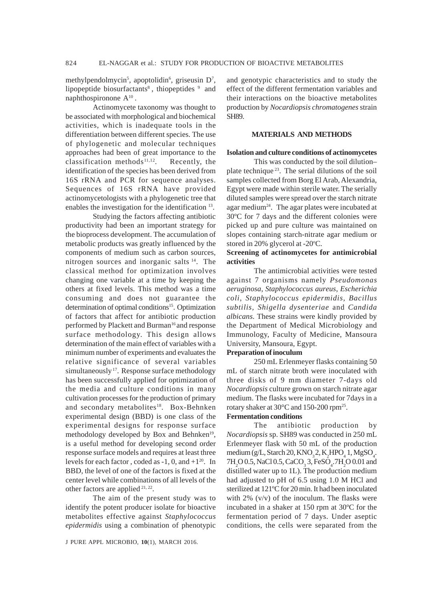methylpendolmycin<sup>5</sup>, apoptolidin<sup>6</sup>, griseusin D<sup>7</sup>, lipopeptide biosurfactants<sup>8</sup>, thiopeptides  $9$  and naphthospironone  $A^{10}$ .

Actinomycete taxonomy was thought to be associated with morphological and biochemical activities, which is inadequate tools in the differentiation between different species. The use of phylogenetic and molecular techniques approaches had been of great importance to the classification methods<sup>11,12</sup>. Recently, the identification of the species has been derived from 16S rRNA and PCR for sequence analyses. Sequences of 16S rRNA have provided actinomycetologists with a phylogenetic tree that enables the investigation for the identification <sup>13</sup>.

Studying the factors affecting antibiotic productivity had been an important strategy for the bioprocess development. The accumulation of metabolic products was greatly influenced by the components of medium such as carbon sources, nitrogen sources and inorganic salts 14. The classical method for optimization involves changing one variable at a time by keeping the others at fixed levels. This method was a time consuming and does not guarantee the determination of optimal conditions<sup>15</sup>. Optimization of factors that affect for antibiotic production performed by Plackett and Burman<sup>16</sup> and response surface methodology. This design allows determination of the main effect of variables with a minimum number of experiments and evaluates the relative significance of several variables simultaneously<sup>17</sup>. Response surface methodology has been successfully applied for optimization of the media and culture conditions in many cultivation processes for the production of primary and secondary metabolites<sup>18</sup>. Box-Behnken experimental design (BBD) is one class of the experimental designs for response surface methodology developed by Box and Behnken<sup>19</sup>, is a useful method for developing second order response surface models and requires at least three levels for each factor, coded as  $-1$ , 0, and  $+1^{20}$ . In BBD, the level of one of the factors is fixed at the center level while combinations of all levels of the other factors are applied 21, 22.

The aim of the present study was to identify the potent producer isolate for bioactive metabolites effective against *Staphylococcus epidermidis* using a combination of phenotypic

and genotypic characteristics and to study the effect of the different fermentation variables and their interactions on the bioactive metabolites production by *Nocardiopsis chromatogenes* strain SH89.

## **MATERIALS AND METHODS**

## **Isolation and culture conditions of actinomycetes**

This was conducted by the soil dilution– plate technique 23. The serial dilutions of the soil samples collected from Borg El Arab, Alexandria, Egypt were made within sterile water. The serially diluted samples were spread over the starch nitrate agar medium<sup>24</sup>. The agar plates were incubated at 30ºC for 7 days and the different colonies were picked up and pure culture was maintained on slopes containing starch-nitrate agar medium or stored in 20% glycerol at -20°C.

## **Screening of actinomycetes for antimicrobial activities**

The antimicrobial activities were tested against 7 organisms namely *Pseudomonas aeruginosa*, *Staphylococcus aureus*, *Escherichia coli*, *Staphylococcus epidermidis, Bacillus subtilis, Shigella dysenteriae* and *Candida albicans*. These strains were kindly provided by the Department of Medical Microbiology and Immunology, Faculty of Medicine, Mansoura University, Mansoura, Egypt.

## **Preparation of inoculum**

250 mL Erlenmeyer flasks containing 50 mL of starch nitrate broth were inoculated with three disks of 9 mm diameter 7-days old *Nocardiopsis* culture grown on starch nitrate agar medium. The flasks were incubated for 7days in a rotary shaker at 30°C and 150-200 rpm25.

## **Fermentation conditions**

The antibiotic production by *Nocardiopsis* sp. SH89 was conducted in 250 mL Erlenmeyer flask with 50 mL of the production medium (g/L, Starch 20, KNO<sub>3</sub>2, K<sub>2</sub>HPO<sub>4</sub> 1, MgSO<sub>4</sub>.  $7H_2O$  0.5, NaCl 0.5, CaCO<sub>3</sub> 3, FeSO<sub>4</sub>.7H<sub>2</sub>O 0.01 and distilled water up to 1L). The production medium had adjusted to pH of 6.5 using 1.0 M HCl and sterilized at 121ºC for 20 min. It had been inoculated with  $2\%$  (v/v) of the inoculum. The flasks were incubated in a shaker at 150 rpm at 30ºC for the fermentation period of 7 days. Under aseptic conditions, the cells were separated from the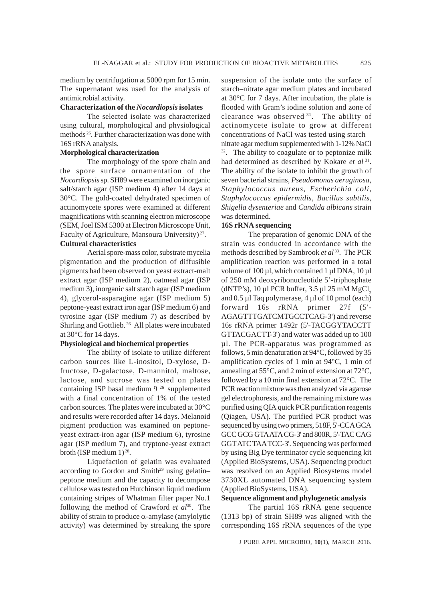medium by centrifugation at 5000 rpm for 15 min. The supernatant was used for the analysis of antimicrobial activity.

## **Characterization of the** *Nocardiopsis* **isolates**

The selected isolate was characterized using cultural, morphological and physiological methods 26. Further characterization was done with 16S rRNA analysis.

## **Morphological characterization**

The morphology of the spore chain and the spore surface ornamentation of the *Nocardiopsis* sp. SH89 were examined on inorganic salt/starch agar (ISP medium 4) after 14 days at 30°C. The gold-coated dehydrated specimen of actinomycete spores were examined at different magnifications with scanning electron microscope (SEM, Joel ISM 5300 at Electron Microscope Unit, Faculty of Agriculture, Mansoura University) 27.

## **Cultural characteristics**

Aerial spore-mass color, substrate mycelia pigmentation and the production of diffusible pigments had been observed on yeast extract-malt extract agar (ISP medium 2), oatmeal agar (ISP medium 3), inorganic salt starch agar (ISP medium 4), glycerol-asparagine agar (ISP medium 5) peptone-yeast extract iron agar (ISP medium 6) and tyrosine agar (ISP medium 7) as described by Shirling and Gottlieb. 26 All plates were incubated at 30°C for 14 days.

## **Physiological and biochemical properties**

The ability of isolate to utilize different carbon sources like L-inositol, D-xylose, Dfructose, D-galactose, D-mannitol, maltose, lactose, and sucrose was tested on plates containing ISP basal medium 9 26 supplemented with a final concentration of 1% of the tested carbon sources. The plates were incubated at 30°C and results were recorded after 14 days. Melanoid pigment production was examined on peptoneyeast extract-iron agar (ISP medium 6), tyrosine agar (ISP medium 7), and tryptone-yeast extract broth (ISP medium  $1)^{28}$ .

Liquefaction of gelatin was evaluated according to Gordon and Smith<sup>29</sup> using gelatinpeptone medium and the capacity to decompose cellulose was tested on Hutchinson liquid medium containing stripes of Whatman filter paper No.1 following the method of Crawford et al<sup>30</sup>. The ability of strain to produce  $\alpha$ -amylase (amylolytic activity) was determined by streaking the spore suspension of the isolate onto the surface of starch–nitrate agar medium plates and incubated at 30°C for 7 days. After incubation, the plate is flooded with Gram's iodine solution and zone of clearance was observed 31. The ability of actinomycete isolate to grow at different concentrations of NaCl was tested using starch – nitrate agar medium supplemented with 1-12% NaCl  $32$ . The ability to coagulate or to peptonize milk had determined as described by Kokare *et al* 31. The ability of the isolate to inhibit the growth of seven bacterial strains, *Pseudomonas aeruginosa*, *Staphylococcus aureus*, *Escherichia coli*, *Staphylococcus epidermidis, Bacillus subtilis, Shigella dysenteriae* and *Candida albicans* strain was determined.

## **16S rRNA sequencing**

The preparation of genomic DNA of the strain was conducted in accordance with the methods described by Sambrook *et al* 33. The PCR amplification reaction was performed in a total volume of 100 µl, which contained 1 µl DNA, 10 µl of 250 mM deoxyribonucleotide 5'-triphosphate (dNTP's),  $10 \mu$ l PCR buffer,  $3.5 \mu$ l  $25 \mu$ M MgCl<sub>2</sub> and 0.5 µl Taq polymerase, 4 µl of 10 pmol (each) forward 16s rRNA primer 27f (5'- AGAGTTTGATCMTGCCTCAG-3') and reverse 16s rRNA primer 1492r (5'-TACGGYTACCTT GTTACGACTT-3') and water was added up to 100 µl. The PCR-apparatus was programmed as follows, 5 min denaturation at 94°C, followed by 35 amplification cycles of 1 min at 94°C, 1 min of annealing at 55°C, and 2 min of extension at 72°C, followed by a 10 min final extension at 72°C. The PCR reaction mixture was then analyzed via agarose gel electrophoresis, and the remaining mixture was purified using QIA quick PCR purification reagents (Qiagen, USA). The purified PCR product was sequenced by using two primers, 518F, 5'-CCA GCA GCC GCG GTA ATA CG-3' and 800R, 5'-TAC CAG GGT ATC TAA TCC-3'. Sequencing was performed by using Big Dye terminator cycle sequencing kit (Applied BioSystems, USA). Sequencing product was resolved on an Applied Biosystems model 3730XL automated DNA sequencing system (Applied BioSystems, USA).

#### **Sequence alignment and phylogenetic analysis**

The partial 16S rRNA gene sequence (1313 bp) of strain SH89 was aligned with the corresponding 16S rRNA sequences of the type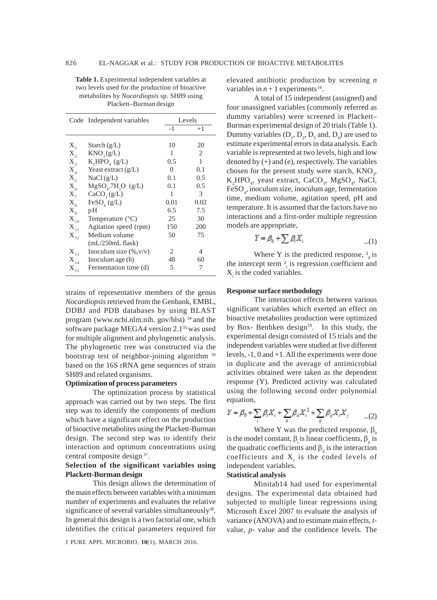**Table 1.** Experimental independent variables at two levels used for the production of bioactive metabolites by *Nocardiopsis* sp. SH89 using Plackett–Burman design

|                             | Code Independent variables       |      | Levels |
|-----------------------------|----------------------------------|------|--------|
|                             |                                  | $-1$ | $+1$   |
|                             |                                  | 10   | 20     |
| $X_{1}$                     | Starch $(g/L)$                   |      |        |
| $X_{2}$                     | KNO <sub>3</sub> (g/L)           | 1    | 2      |
| $X_{\sigma}$                | $K,$ HPO <sub>4</sub> (g/L)      | 0.5  | 1      |
| $X_{\scriptscriptstyle{A}}$ | Yeast extract $(g/L)$            | 0    | 0.1    |
| $X_{\zeta}$                 | NaCl(g/L)                        | 0.1  | 0.5    |
| $X_{\epsilon}$              | $MgSOa$ .7H <sub>2</sub> O (g/L) | 0.1  | 0.5    |
| $X_{7}$                     | CaCO <sub>3</sub> (g/L)          | 1    | 3      |
| $X_{\rm s}$                 | FeSO <sub>4</sub> (g/L)          | 0.01 | 0.02   |
| $X_{\mathrm{q}}$            | рH                               | 6.5  | 7.5    |
| $\mathbf{X}_{10}$           | Temperature $(^{\circ}C)$        | 25   | 30     |
| $X_{11}$                    | Agitation speed (rpm)            | 150  | 200    |
| $X_{12}$                    | Medium volume                    | 50   | 75     |
|                             | $(mL/250mL$ flask)               |      |        |
| $X_{13}$                    | Inoculum size $(\%, v/v)$        | 2.   | 4      |
| $\mathbf{X}_{_{14}}$        | Inoculum age $(h)$               | 48   | 60     |
| $\mathbf{X}_{_{15}}$        | Fermentation time (d)            | 5    | 7      |

strains of representative members of the genus *Nocardiopsis* retrieved from the Genbank, EMBL, DDBJ and PDB databases by using BLAST program (www.ncbi.nlm.nih. gov/blst) 34 and the software package MEGA4 version 2.1<sup>35</sup> was used for multiple alignment and phylogenetic analysis. The phylogenetic tree was constructed via the bootstrap test of neighbor-joining algorithm 36 based on the 16S rRNA gene sequences of strain SH89 and related organisms.

## **Optimization of process parameters**

The optimization process by statistical approach was carried out by two steps. The first step was to identify the components of medium which have a significant effect on the production of bioactive metabolites using the Plackett-Burman design. The second step was to identify their interaction and optimum concentrations using central composite design 37.

## **Selection of the significant variables using Plackett-Burman design**

This design allows the determination of the main effects between variables with a minimum number of experiments and evaluates the relative significance of several variables simultaneously<sup>38</sup>. In general this design is a two factorial one, which identifies the critical parameters required for

J PURE APPL MICROBIO*,* **10**(1), MARCH 2016.

elevated antibiotic production by screening *n* variables in  $n + 1$  experiments <sup>16</sup>.

A total of 15 independent (assigned) and four unassigned variables (commonly referred as dummy variables) were screened in Plackett– Burman experimental design of 20 trials (Table 1). Dummy variables  $(D_1, D_2, D_3, and D_4)$  are used to estimate experimental errors in data analysis. Each variable is represented at two levels, high and low denoted by (+) and (e), respectively. The variables chosen for the present study were starch,  $KNO_3$ , K<sub>2</sub>HPO<sub>4</sub>, yeast extract, CaCO<sub>3</sub>, MgSO<sub>4</sub>, NaCl, FeSO<sub>4</sub>, inoculum size, inoculum age, fermentation time, medium volume, agitation speed, pH and temperature. It is assumed that the factors have no interactions and a first-order multiple regression models are appropriate,

$$
Y = \beta_0 + \sum \beta_i X_i \tag{1}
$$

Where Y is the predicted response,  $2\pi$  is the intercept term  $\frac{2}{i}$  is regression coefficient and  $X_i$  is the coded variables.

#### **Response surface methodology**

The interaction effects between various significant variables which exerted an effect on bioactive metabolites production were optimized by Box- Benhken design $19$ . In this study, the experimental design consisted of 15 trials and the independent variables were studied at five different levels, -1, 0 and +1. All the experiments were done in duplicate and the average of antimicrobial activities obtained were taken as the dependent response (Y). Predicted activity was calculated using the following second order polynomial equation,

$$
Y = \beta_0 + \sum_i \beta_i X_i + \sum_{ii} \beta_{ii} X_i^2 + \sum_{ij} \beta_{ij} X_i X_j \qquad \dots (2)
$$

Where Y was the predicted response,  $\beta_0$ is the model constant,  $\beta$  is linear coefficients,  $\beta$  is the quadratic coefficients and  $\beta_{ii}$  is the interaction coefficients and  $X_i$  is the coded levels of independent variables.

## **Statistical analysis**

Minitab14 had used for experimental designs. The experimental data obtained had subjected to multiple linear regressions using Microsoft Excel 2007 to evaluate the analysis of variance (ANOVA) and to estimate main effects, *t*value, *p-* value and the confidence levels. The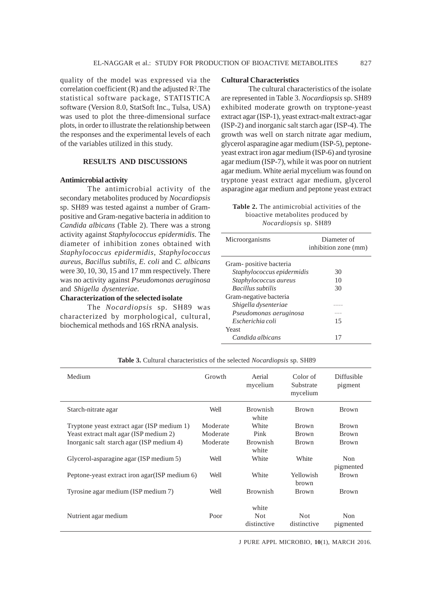quality of the model was expressed via the correlation coefficient  $(R)$  and the adjusted  $R^2$ . The statistical software package, STATISTICA software (Version 8.0, StatSoft Inc., Tulsa, USA) was used to plot the three-dimensional surface plots, in order to illustrate the relationship between the responses and the experimental levels of each of the variables utilized in this study.

## **RESULTS AND DISCUSSIONS**

#### **Antimicrobial activity**

The antimicrobial activity of the secondary metabolites produced by *Nocardiopsis* sp. SH89 was tested against a number of Grampositive and Gram-negative bacteria in addition to *Candida albicans* (Table 2). There was a strong activity against *Staphylococcus epidermidis*. The diameter of inhibition zones obtained with *Staphylococcus epidermidis*, *Staphylococcus aureus, Bacillus subtilis, E. coli* and *C. albicans* were 30, 10, 30, 15 and 17 mm respectively. There was no activity against *Pseudomonas aeruginosa* and *Shigella dysenteriae*.

## **Characterization of the selected isolate**

The *Nocardiopsis* sp. SH89 was characterized by morphological, cultural, biochemical methods and 16S rRNA analysis.

#### **Cultural Characteristics**

The cultural characteristics of the isolate are represented in Table 3. *Nocardiopsis* sp. SH89 exhibited moderate growth on tryptone-yeast extract agar (ISP-1), yeast extract-malt extract-agar (ISP-2) and inorganic salt starch agar (ISP-4). The growth was well on starch nitrate agar medium, glycerol asparagine agar medium (ISP-5), peptoneyeast extract iron agar medium (ISP-6) and tyrosine agar medium (ISP-7), while it was poor on nutrient agar medium. White aerial mycelium was found on tryptone yeast extract agar medium, glycerol asparagine agar medium and peptone yeast extract

**Table 2.** The antimicrobial activities of the bioactive metabolites produced by *Nocardiopsis* sp. SH89

| Microorganisms             | Diameter of<br>inhibition zone (mm) |
|----------------------------|-------------------------------------|
| Gram-positive bacteria     |                                     |
| Staphylococcus epidermidis | 30                                  |
| Staphylococcus aureus      | 10                                  |
| <b>Bacillus</b> subtilis   | 30                                  |
| Gram-negative bacteria     |                                     |
| Shigella dysenteriae       |                                     |
| Pseudomonas aeruginosa     |                                     |
| Escherichia coli           | 15                                  |
| Yeast                      |                                     |
| Candida albicans           |                                     |

| Medium                                         | Growth   | Aerial<br>mycelium           | Color of<br>Substrate<br>mycelium | Diffusible<br>pigment |
|------------------------------------------------|----------|------------------------------|-----------------------------------|-----------------------|
| Starch-nitrate agar                            | Well     | <b>Brownish</b><br>white     | <b>Brown</b>                      | <b>Brown</b>          |
| Tryptone yeast extract agar (ISP medium 1)     | Moderate | White                        | <b>Brown</b>                      | <b>Brown</b>          |
| Yeast extract malt agar (ISP medium 2)         | Moderate | Pink                         | <b>Brown</b>                      | <b>Brown</b>          |
| Inorganic salt starch agar (ISP medium 4)      | Moderate | <b>Brownish</b><br>white     | <b>Brown</b>                      | <b>Brown</b>          |
| Glycerol-asparagine agar (ISP medium 5)        | Well     | White                        | White                             | Non<br>pigmented      |
| Peptone-yeast extract iron agar (ISP medium 6) | Well     | White                        | Yellowish<br>brown                | <b>Brown</b>          |
| Tyrosine agar medium (ISP medium 7)            | Well     | <b>Brownish</b>              | <b>Brown</b>                      | <b>Brown</b>          |
| Nutrient agar medium                           | Poor     | white<br>Not.<br>distinctive | <b>Not</b><br>distinctive         | Non<br>pigmented      |

**Table 3.** Cultural characteristics of the selected *Nocardiopsis* sp. SH89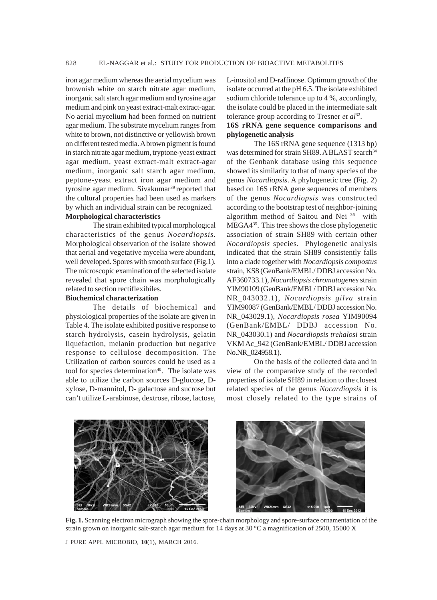iron agar medium whereas the aerial mycelium was brownish white on starch nitrate agar medium, inorganic salt starch agar medium and tyrosine agar medium and pink on yeast extract-malt extract-agar. No aerial mycelium had been formed on nutrient agar medium. The substrate mycelium ranges from white to brown, not distinctive or yellowish brown on different tested media. A brown pigment is found in starch nitrate agar medium, tryptone-yeast extract agar medium, yeast extract-malt extract-agar medium, inorganic salt starch agar medium, peptone-yeast extract iron agar medium and tyrosine agar medium. Sivakumar<sup>39</sup> reported that the cultural properties had been used as markers by which an individual strain can be recognized.

## **Morphological characteristics**

The strain exhibited typical morphological characteristics of the genus *Nocardiopsis.* Morphological observation of the isolate showed that aerial and vegetative mycelia were abundant, well developed. Spores with smooth surface (Fig.1). The microscopic examination of the selected isolate revealed that spore chain was morphologically related to section rectiflexibiles.

#### **Biochemical characterization**

The details of biochemical and physiological properties of the isolate are given in Table 4. The isolate exhibited positive response to starch hydrolysis, casein hydrolysis, gelatin liquefaction, melanin production but negative response to cellulose decomposition. The Utilization of carbon sources could be used as a tool for species determination<sup>40</sup>. The isolate was able to utilize the carbon sources D-glucose, Dxylose, D-mannitol, D- galactose and sucrose but can't utilize L-arabinose, dextrose, ribose, lactose,

L-inositol and D-raffinose. Optimum growth of the isolate occurred at the pH 6.5. The isolate exhibited sodium chloride tolerance up to 4 %, accordingly, the isolate could be placed in the intermediate salt tolerance group according to Tresner *et al*32.

## **16S rRNA gene sequence comparisons and phylogenetic analysis**

The 16S rRNA gene sequence (1313 bp) was determined for strain SH89. A BLAST search<sup>34</sup> of the Genbank database using this sequence showed its similarity to that of many species of the genus *Nocardiopsis*. A phylogenetic tree (Fig. 2) based on 16S rRNA gene sequences of members of the genus *Nocardiopsis* was constructed according to the bootstrap test of neighbor-joining algorithm method of Saitou and Nei 36 with MEGA435. This tree shows the close phylogenetic association of strain SH89 with certain other *Nocardiopsis* species. Phylogenetic analysis indicated that the strain SH89 consistently falls into a clade together with *Nocardiopsis compostus* strain, KS8 (GenBank/EMBL/ DDBJ accession No. AF360733.1), *Nocardiopsis chromatogenes* strain YIM90109 (GenBank/EMBL/ DDBJ accession No. NR\_043032.1), *Nocardiopsis gilva* strain YIM90087 (GenBank/EMBL/ DDBJ accession No. NR\_043029.1), *Nocardiopsis rosea* YIM90094 (GenBank/EMBL/ DDBJ accession No. NR\_043030.1) and *Nocardiopsis trehalosi* strain VKM Ac\_942 (GenBank/EMBL/ DDBJ accession No.NR\_024958.1).

On the basis of the collected data and in view of the comparative study of the recorded properties of isolate SH89 in relation to the closest related species of the genus *Nocardiopsis* it is most closely related to the type strains of



**Fig. 1.** Scanning electron micrograph showing the spore-chain morphology and spore-surface ornamentation of the strain grown on inorganic salt-starch agar medium for 14 days at 30 °C a magnification of 2500, 15000 X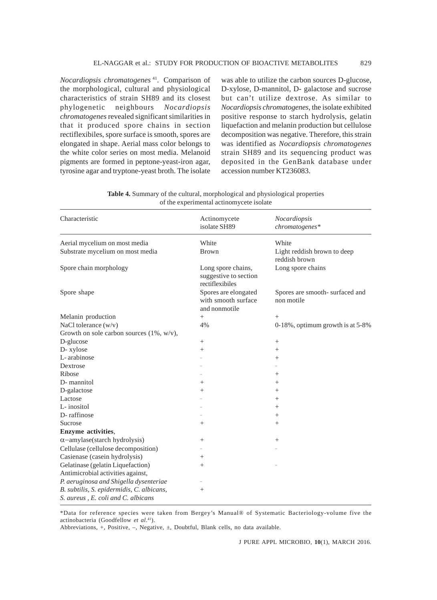*Nocardiopsis chromatogenes* 41. Comparison of the morphological, cultural and physiological characteristics of strain SH89 and its closest phylogenetic neighbours *Nocardiopsis chromatogenes* revealed significant similarities in that it produced spore chains in section rectiflexibiles, spore surface is smooth, spores are elongated in shape. Aerial mass color belongs to the white color series on most media. Melanoid pigments are formed in peptone-yeast-iron agar, tyrosine agar and tryptone-yeast broth. The isolate

was able to utilize the carbon sources D-glucose, D-xylose, D-mannitol, D- galactose and sucrose but can't utilize dextrose. As similar to *Nocardiopsis chromatogenes,* the isolate exhibited positive response to starch hydrolysis, gelatin liquefaction and melanin production but cellulose decomposition was negative. Therefore, this strain was identified as *Nocardiopsis chromatogenes* strain SH89 and its sequencing product was deposited in the GenBank database under accession number KT236083.

**Table 4.** Summary of the cultural, morphological and physiological properties of the experimental actinomycete isolate

| Characteristic                               | Actinomycete<br>isolate SH89                                   | Nocardiopsis<br>chromatogenes*               |
|----------------------------------------------|----------------------------------------------------------------|----------------------------------------------|
| Aerial mycelium on most media                | White                                                          | White                                        |
| Substrate mycelium on most media             | <b>Brown</b>                                                   | Light reddish brown to deep<br>reddish brown |
| Spore chain morphology                       | Long spore chains,<br>suggestive to section<br>rectiflexibiles | Long spore chains                            |
| Spore shape                                  | Spores are elongated<br>with smooth surface<br>and nonmotile   | Spores are smooth-surfaced and<br>non motile |
| Melanin production                           | $\! + \!\!\!\!$                                                | $^{+}$                                       |
| NaCl tolerance $(w/v)$                       | 4%                                                             | 0-18%, optimum growth is at 5-8%             |
| Growth on sole carbon sources $(1\%, w/v)$ , |                                                                |                                              |
| D-glucose                                    | $\! + \!\!\!\!$                                                |                                              |
| D- xylose                                    | $^{+}$                                                         | $\! + \!\!\!\!$                              |
| L-arabinose                                  |                                                                | $^{+}$                                       |
| Dextrose                                     |                                                                |                                              |
| Ribose                                       |                                                                | $^{+}$                                       |
| D-mannitol                                   | $^{+}$                                                         | $^{+}$                                       |
| D-galactose                                  | $^{+}$                                                         | $^{+}$                                       |
| Lactose                                      |                                                                | $^{+}$                                       |
| L-inositol                                   |                                                                | $^{+}$                                       |
| D-raffinose                                  |                                                                | $^{+}$                                       |
| Sucrose                                      | $^{+}$                                                         | $^{+}$                                       |
| Enzyme activities,                           |                                                                |                                              |
| $\alpha$ -amylase(starch hydrolysis)         | $^{+}$                                                         | $^{+}$                                       |
| Cellulase (cellulose decomposition)          |                                                                |                                              |
| Casienase (casein hydrolysis)                | $^{+}$                                                         |                                              |
| Gelatinase (gelatin Liquefaction)            | $^{+}$                                                         |                                              |
| Antimicrobial activities against,            |                                                                |                                              |
| P. aeruginosa and Shigella dysenteriae       |                                                                |                                              |
| B. subtilis, S. epidermidis, C. albicans,    | $^{+}$                                                         |                                              |
| S. aureus, E. coli and C. albicans           |                                                                |                                              |

\*Data for reference species were taken from Bergey's Manual® of Systematic Bacteriology-volume five the actinobacteria (Goodfellow *et al*. 41).

Abbreviations, +, Positive, –, Negative, ±, Doubtful, Blank cells, no data available.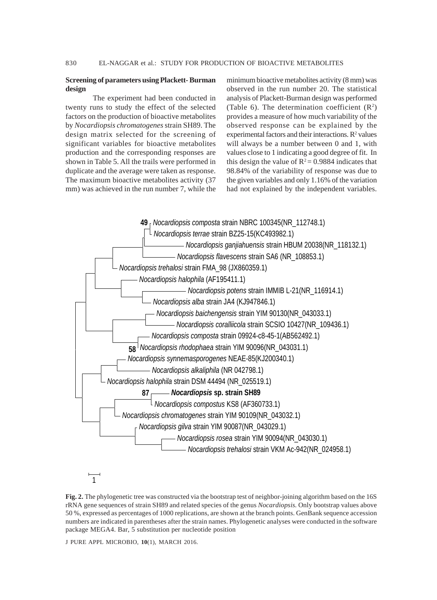## **Screening of parameters using Plackett- Burman design**

The experiment had been conducted in twenty runs to study the effect of the selected factors on the production of bioactive metabolites by *Nocardiopsis chromatogenes* strain SH89. The design matrix selected for the screening of significant variables for bioactive metabolites production and the corresponding responses are shown in Table 5. All the trails were performed in duplicate and the average were taken as response. The maximum bioactive metabolites activity (37 mm) was achieved in the run number 7, while the

minimum bioactive metabolites activity (8 mm) was observed in the run number 20. The statistical analysis of Plackett-Burman design was performed (Table 6). The determination coefficient  $(R^2)$ provides a measure of how much variability of the observed response can be explained by the experimental factors and their interactions.  $\mathbb{R}^2$  values will always be a number between 0 and 1, with values close to 1 indicating a good degree of fit. In this design the value of  $R^2 = 0.9884$  indicates that 98.84% of the variability of response was due to the given variables and only 1.16% of the variation had not explained by the independent variables.



**Fig. 2.** The phylogenetic tree was constructed via the bootstrap test of neighbor-joining algorithm based on the 16S rRNA gene sequences of strain SH89 and related species of the genus *Nocardiopsis.* Only bootstrap values above 50 %, expressed as percentages of 1000 replications, are shown at the branch points. GenBank sequence accession numbers are indicated in parentheses after the strain names. Phylogenetic analyses were conducted in the software package MEGA4. Bar, 5 substitution per nucleotide position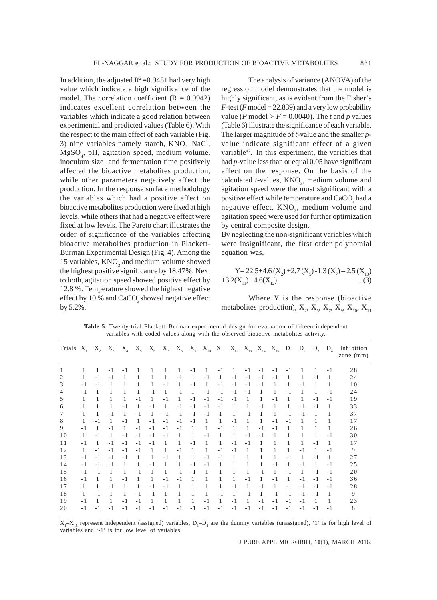In addition, the adjusted  $R^2 = 0.9451$  had very high value which indicate a high significance of the model. The correlation coefficient  $(R = 0.9942)$ indicates excellent correlation between the variables which indicate a good relation between experimental and predicted values (Table 6). With the respect to the main effect of each variable (Fig. 3) nine variables namely starch,  $KNO<sub>3</sub>$ , NaCl, MgSO4 , pH, agitation speed, medium volume, inoculum size and fermentation time positively affected the bioactive metabolites production, while other parameters negatively affect the production. In the response surface methodology the variables which had a positive effect on bioactive metabolites production were fixed at high levels, while others that had a negative effect were fixed at low levels. The Pareto chart illustrates the order of significance of the variables affecting bioactive metabolites production in Plackett-Burman Experimental Design (Fig. 4). Among the 15 variables,  $KNO_3$  and medium volume showed the highest positive significance by 18.47%. Next to both, agitation speed showed positive effect by 12.8 %. Temperature showed the highest negative effect by  $10\%$  and  $CaCO<sub>3</sub>$  showed negative effect by 5.2%.

The analysis of variance (ANOVA) of the regression model demonstrates that the model is highly significant, as is evident from the Fisher's  $F$ -test (*F* model = 22.839) and a very low probability value (*P* model  $> F = 0.0040$ ). The *t* and *p* values (Table 6) illustrate the significance of each variable. The larger magnitude of *t-*value and the smaller *p*value indicate significant effect of a given variable<sup>42</sup>. In this experiment, the variables that had *p-*value less than or equal 0.05 have significant effect on the response. On the basis of the calculated *t*-values, KNO<sub>3</sub>, medium volume and agitation speed were the most significant with a positive effect while temperature and CaCO<sub>3</sub> had a negative effect. KNO<sub>3</sub>, medium volume and agitation speed were used for further optimization by central composite design.

By neglecting the non-significant variables which were insignificant, the first order polynomial equation was,

Y= 22.5+4.6 (X2 ) +2.7 (X5 ) -1.3 (X7 ) – 2.5 (X10) +3.2(X11) +4.6(X12) ...(3)

Where Y is the response (bioactive metabolites production),  $X_2$ ,  $X_5$ ,  $X_7$ ,  $X_9$ ,  $X_{10}$ ,  $X_{11}$ 

**Table 5.** Twenty-trial Plackett–Burman experimental design for evaluation of fifteen independent variables with coded values along with the observed bioactive metabolites activity.

| Trials X <sub>1</sub> |      |      |      |      |      |      |      |      |      |      |      |      |      |      | $X_2, X_3, X_4, X_5, X_6, X_7, X_8, X_9, X_{10}, X_{11}, X_{12}, X_{13}, X_{14}, X_{15}, D_1, D_2, D_3$ |      |      |      | $D_4$ | Inhibition<br>zone $(mm)$ |
|-----------------------|------|------|------|------|------|------|------|------|------|------|------|------|------|------|---------------------------------------------------------------------------------------------------------|------|------|------|-------|---------------------------|
| 1                     | 1    | 1.   | $-1$ | - 1  |      |      |      | 1.   | - 1  |      | $-1$ | 1    | $-1$ | $-1$ | - 1                                                                                                     | - 1  |      |      | - 1   | 28                        |
| 2                     | 1    | $-1$ | $-1$ |      |      | 1    | 1    | - 1  | 1    | $-1$ | 1    | $-1$ | $-1$ | $-1$ | - 1                                                                                                     | 1    | 1    | - 1  | -1    | 24                        |
| 3                     | $-1$ | $-1$ |      |      |      | 1    | - 1  | 1    | $-1$ | 1    | $-1$ | $-1$ | $-1$ | $-1$ | 1                                                                                                       | 1    | - 1  |      |       | 10                        |
| $\overline{4}$        | - 1  | 1    |      | 1    | 1    | - 1  | -1   | $-1$ | 1    | $-1$ | $-1$ | - 1  | $-1$ | -1   | 1                                                                                                       | - 1  | 1    | 1    | - 1   | 24                        |
| 5                     |      |      |      | 1    | - 1  | 1    | $-1$ | 1    | $-1$ | $-1$ | $-1$ | - 1  | 1    | 1    | $-1$                                                                                                    | 1    | 1    | $-1$ | - 1   | 19                        |
| 6                     |      | 1    | 1    | $-1$ | 1    | $-1$ | -1   | $-1$ | $-1$ | $-1$ | $-1$ | 1    | 1    | - 1  | 1                                                                                                       | 1    | - 1  | $-1$ | 1     | 33                        |
| 7                     | 1    | 1    | $-1$ | -1   | - 1  | 1    | $-1$ | $-1$ | $-1$ | $-1$ |      |      | - 1  | -1   | 1                                                                                                       | $-1$ | - 1  |      |       | 37                        |
| 8                     | 1    | $-1$ | -1   | - 1  | 1    | $-1$ | $-1$ | $-1$ | $-1$ | -1   | 1    | - 1  | 1    | -1   | $-1$                                                                                                    | - 1  | 1    |      |       | 17                        |
| 9                     | $-1$ | 1    | $-1$ | -1   | $-1$ | $-1$ | $-1$ | $-1$ | 1    | 1    | $-1$ | 1    | 1    | - 1  | $-1$                                                                                                    | 1    | 1    | -1   | -1    | 26                        |
| 10                    | 1    | $-1$ | -1   | $-1$ | $-1$ | $-1$ | $-1$ | -1   | -1   | - 1  | -1   | 1    | - 1  | - 1  | 1                                                                                                       |      | 1    |      | - 1   | 30                        |
| 11                    | $-1$ | 1    | $-1$ | $-1$ | $-1$ | $-1$ | -1   | 1    | - 1  | 1    | 1    | $-1$ | $-1$ | -1   | 1.                                                                                                      | 1    | 1    | $-1$ | -1    | 17                        |
| 12                    | -1   | $-1$ | $-1$ | - 1  | - 1  | 1    | 1    | - 1  | 1    | 1    | $-1$ | - 1  | 1    |      | 1                                                                                                       | 1    | - 1  | -1   | - 1   | 9                         |
| 13                    | $-1$ | $-1$ | $-1$ | $-1$ | 1    | 1    | - 1  | 1    | 1    | $-1$ | $-1$ |      |      | 1    | 1                                                                                                       | $-1$ | 1    | $-1$ | -1    | 27                        |
| 14                    | $-1$ | $-1$ | $-1$ | 1    | 1    | $-1$ | 1    | 1    | $-1$ | $-1$ |      |      | 1    | 1    | $-1$                                                                                                    | 1    | $-1$ | -1   | - 1   | 25                        |
| 15                    | - 1  | $-1$ |      | 1    | - 1  | 1    | 1    | - 1  | $-1$ | 1    |      | 1    | 1    | - 1  | 1                                                                                                       | $-1$ | -1   | $-1$ | - 1   | 20                        |
| 16                    | $-1$ | 1    | 1    | - 1  | 1    | 1    | $-1$ | $-1$ | 1    |      |      | 1    | $-1$ | -1   | $-1$                                                                                                    | 1    | - 1  | $-1$ | - 1   | 36                        |
| 17                    | 1.   | 1    | $-1$ | 1    | 1    | - 1  | - 1  |      | 1    |      |      | - 1  | 1    | - 1  | 1                                                                                                       | $-1$ | - 1  | $-1$ | - 1   | 28                        |
| 18                    | 1    | $-1$ | -1   | -1   | $-1$ | $-1$ | -1   |      | -1   | 1    | $-1$ | -1   | $-1$ | -1   | $-1$                                                                                                    | $-1$ | - 1  | - 1  | -1    | 9                         |
| 19                    | $-1$ | -1   | 1    | - 1  | $-1$ | 1    |      |      | 1    | $-1$ | 1    | $-1$ | -1   | $-1$ | $-1$                                                                                                    | $-1$ | $-1$ | -1   | 1     | 23                        |
| 20                    | $-1$ | $-1$ | $-1$ | $-1$ | $-1$ | $-1$ | $-1$ | $-1$ | $-1$ | $-1$ | $-1$ | $-1$ | $-1$ | $-1$ | $-1$                                                                                                    | $-1$ | $-1$ | $-1$ | $-1$  | 8                         |

 $X_1 - X_1$ <sub>5</sub> represent independent (assigned) variables,  $D_1 - D_4$  are the dummy variables (unassigned), '1' is for high level of variables and '-1' is for low level of variables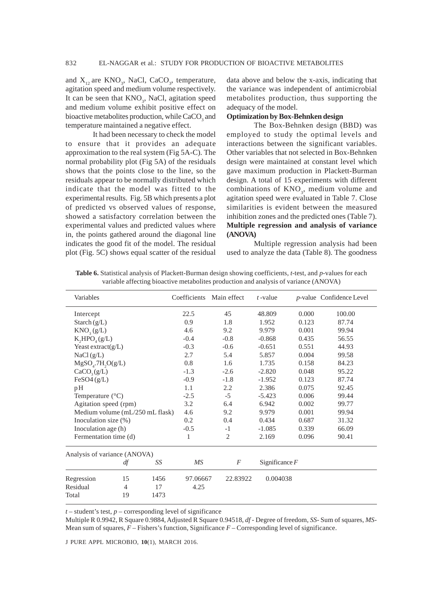and  $X_{12}$  are  $KNO_3$ , NaCl, CaCO<sub>3</sub>, temperature, agitation speed and medium volume respectively. It can be seen that KNO<sub>3</sub>, NaCl, agitation speed and medium volume exhibit positive effect on bioactive metabolites production, while  $\rm CaCO_{_3}$  and temperature maintained a negative effect.

It had been necessary to check the model to ensure that it provides an adequate approximation to the real system (Fig 5A-C). The normal probability plot (Fig 5A) of the residuals shows that the points close to the line, so the residuals appear to be normally distributed which indicate that the model was fitted to the experimental results. Fig. 5B which presents a plot of predicted vs observed values of response, showed a satisfactory correlation between the experimental values and predicted values where in, the points gathered around the diagonal line indicates the good fit of the model. The residual plot (Fig. 5C) shows equal scatter of the residual data above and below the x-axis, indicating that the variance was independent of antimicrobial metabolites production, thus supporting the adequacy of the model.

## **Optimization by Box-Behnken design**

The Box-Behnken design (BBD) was employed to study the optimal levels and interactions between the significant variables. Other variables that not selected in Box-Behnken design were maintained at constant level which gave maximum production in Plackett-Burman design. A total of 15 experiments with different combinations of  $KNO<sub>3</sub>$ , medium volume and agitation speed were evaluated in Table 7. Close similarities is evident between the measured inhibition zones and the predicted ones (Table 7). **Multiple regression and analysis of variance (ANOVA)**

Multiple regression analysis had been used to analyze the data (Table 8). The goodness

| Variables                       | Coefficients     | Main effect    | $t$ -value |                  | <i>p</i> -value Confidence Level |
|---------------------------------|------------------|----------------|------------|------------------|----------------------------------|
| Intercept                       | 22.5             | 45             | 48.809     | 0.000            | 100.00                           |
| Starch $(g/L)$                  | 0.9              | 1.8            | 1.952      | 0.123            | 87.74                            |
| KNO <sub>3</sub> (g/L)          | 4.6              | 9.2            | 9.979      | 0.001            | 99.94                            |
| K, HPO <sub>A</sub> (g/L)       | $-0.4$           | $-0.8$         | $-0.868$   | 0.435            | 56.55                            |
| Yeast extract $(g/L)$           | $-0.3$           | $-0.6$         | $-0.651$   | 0.551            | 44.93                            |
| NaCl(g/L)                       | 2.7              | 5.4            | 5.857      | 0.004            | 99.58                            |
| $MgSOa$ .7H <sub>2</sub> O(g/L) | 0.8              | 1.6            | 1.735      | 0.158            | 84.23                            |
| CaCO <sub>3</sub> (g/L)         | $-1.3$           | $-2.6$         | $-2.820$   | 0.048            | 95.22                            |
| FeSO4(g/L)                      | $-0.9$           | $-1.8$         | $-1.952$   | 0.123            | 87.74                            |
| pH                              | 1.1              | 2.2            | 2.386      | 0.075            | 92.45                            |
| Temperature $(^{\circ}C)$       | $-2.5$           | $-5$           | $-5.423$   | 0.006            | 99.44                            |
| Agitation speed (rpm)           | 3.2              | 6.4            | 6.942      | 0.002            | 99.77                            |
| Medium volume (mL/250 mL flask) | 4.6              | 9.2            | 9.979      | 0.001            | 99.94                            |
| Inoculation size $(\%)$         | 0.2              | 0.4            | 0.434      | 0.687            | 31.32                            |
| Inoculation age (h)             | $-0.5$           | $-1$           | $-1.085$   | 0.339            | 66.09                            |
| Fermentation time (d)           | 1                | $\overline{c}$ | 2.169      | 0.096            | 90.41                            |
| Analysis of variance (ANOVA)    |                  |                |            |                  |                                  |
| df                              | MS<br>SS         | F              |            | Significance $F$ |                                  |
| Regression<br>15                | 1456<br>97.06667 | 22.83922       | 0.004038   |                  |                                  |
| Residual<br>$\overline{4}$      | 17<br>4.25       |                |            |                  |                                  |
| Total<br>19                     | 1473             |                |            |                  |                                  |

**Table 6.** Statistical analysis of Plackett-Burman design showing coefficients, *t-*test, and *p*-values for each variable affecting bioactive metabolites production and analysis of variance (ANOVA)

 $t$  – student's test,  $p$  – corresponding level of significance

Multiple R 0.9942, R Square 0.9884, Adjusted R Square 0.94518, *df* - Degree of freedom, *SS*- Sum of squares, *MS*-Mean sum of squares,  $F$  – Fishers's function, Significance  $F$  – Corresponding level of significance.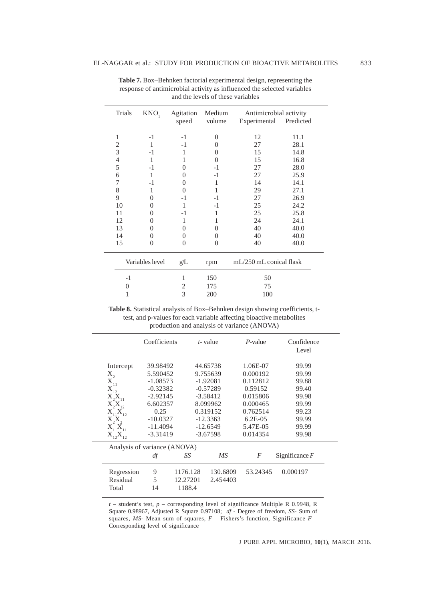| Trials         | KNO <sub>3</sub> | Agitation<br>speed | Medium<br>volume | Antimicrobial activity<br>Experimental | Predicted |
|----------------|------------------|--------------------|------------------|----------------------------------------|-----------|
| 1              | $-1$             | $-1$               | $\theta$         | 12                                     | 11.1      |
| $\overline{c}$ | 1                | $-1$               | 0                | 27                                     | 28.1      |
| 3              | $-1$             | 1                  | $\theta$         | 15                                     | 14.8      |
| 4              | 1                | 1                  | 0                | 15                                     | 16.8      |
| 5              | $-1$             | 0                  | $-1$             | 27                                     | 28.0      |
| 6              | 1                | 0                  | $-1$             | 27                                     | 25.9      |
| 7              | $-1$             | 0                  | 1                | 14                                     | 14.1      |
| 8              | 1                | 0                  | 1                | 29                                     | 27.1      |
| 9              | $\theta$         | $-1$               | $-1$             | 27                                     | 26.9      |
| 10             | $\Omega$         | 1                  | $-1$             | 25                                     | 24.2      |
| 11             | $\theta$         | $-1$               | 1                | 25                                     | 25.8      |
| 12             | $\Omega$         | 1                  |                  | 24                                     | 24.1      |
| 13             | $\overline{0}$   | $\Omega$           | 0                | 40                                     | 40.0      |
| 14             | $\theta$         | $\theta$           | 0                | 40                                     | 40.0      |
| 15             | $\theta$         | 0                  | $\overline{0}$   | 40                                     | 40.0      |
|                | Variables level  | g/L                | rpm              | mL/250 mL conical flask                |           |
| $-1$           |                  | 1                  | 150              | 50                                     |           |
| 0              |                  | 2                  | 175              | 75                                     |           |
| 1              |                  | 3                  | 200              | 100                                    |           |

**Table 7.** Box–Behnken factorial experimental design, representing the response of antimicrobial activity as influenced the selected variables and the levels of these variables

**Table 8.** Statistical analysis of Box–Behnken design showing coefficients, ttest, and p-values for each variable affecting bioactive metabolites production and analysis of variance (ANOVA)

|                                    | Coefficients                 |          | t-value    | P-value    | Confidence<br>Level |
|------------------------------------|------------------------------|----------|------------|------------|---------------------|
| Intercept                          | 39.98492                     |          | 44.65738   | 1.06E-07   | 99.99               |
| $X_{2}$                            | 5.590452                     |          | 9.755639   | 0.000192   | 99.99               |
| $X_{11}$                           | $-1.08573$                   |          | $-1.92081$ | 0.112812   | 99.88               |
| $X_{12}$                           | $-0.32382$                   |          | $-0.57289$ | 0.59152    | 99.40               |
| $X_2X_{11}$                        | $-2.92145$                   |          | $-3.58412$ | 0.015806   | 99.98               |
| $X_2X_1$                           | 6.602357                     |          | 8.099962   | 0.000465   | 99.99               |
| $X_{11}X_{12}$                     | 0.25                         |          | 0.319152   | 0.762514   | 99.23               |
| X, X,                              | $-10.0327$                   |          | $-12.3363$ | $6.2E-0.5$ | 99.99               |
| $X_{11}^{\dagger}X_{11}^{\dagger}$ | $-11.4094$                   |          | $-12.6549$ | 5.47E-05   | 99.99               |
| $X_1, X_2, X_3$                    | $-3.31419$                   |          | $-3.67598$ | 0.014354   | 99.98               |
|                                    | Analysis of variance (ANOVA) |          |            |            |                     |
|                                    | df                           | SS       | МS         | F          | Significance $F$    |
| Regression                         | 9                            | 1176.128 | 130.6809   | 53.24345   | 0.000197            |
| Residual                           | 5                            | 12.27201 | 2.454403   |            |                     |
| Total                              | 14                           | 1188.4   |            |            |                     |
|                                    |                              |          |            |            |                     |

*t* – student's test, *p* – corresponding level of significance Multiple R 0.9948, R Square 0.98967, Adjusted R Square 0.97108; *df* - Degree of freedom, *SS*- Sum of squares,  $MS$ - Mean sum of squares,  $F$  – Fishers's function, Significance  $F$  – Corresponding level of significance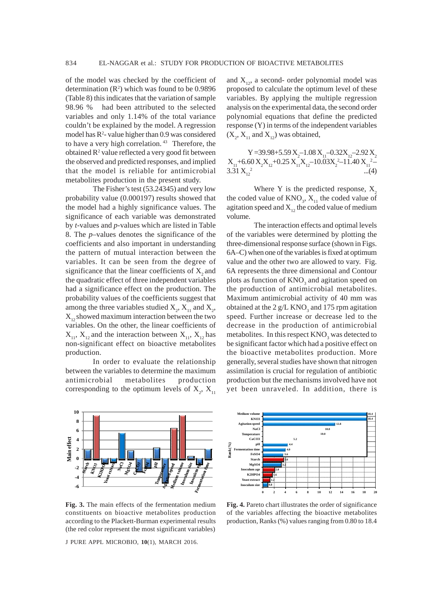of the model was checked by the coefficient of determination  $(R^2)$  which was found to be 0.9896 (Table 8) this indicates that the variation of sample 98.96 % had been attributed to the selected variables and only 1.14% of the total variance couldn't be explained by the model. A regression model has  $R^2$ - value higher than 0.9 was considered to have a very high correlation.<sup>43</sup> Therefore, the obtained  $R^2$  value reflected a very good fit between the observed and predicted responses, and implied that the model is reliable for antimicrobial metabolites production in the present study.

The Fisher's test (53.24345) and very low probability value (0.000197) results showed that the model had a highly significance values. The significance of each variable was demonstrated by *t-*values and *p-*values which are listed in Table 8. The *p–*values denotes the significance of the coefficients and also important in understanding the pattern of mutual interaction between the variables. It can be seen from the degree of significance that the linear coefficients of  $X$ , and the quadratic effect of three independent variables had a significance effect on the production. The probability values of the coefficients suggest that among the three variables studied  $X_2$ ,  $X_{11}$  and  $X_2$ ,  $X_{12}$  showed maximum interaction between the two variables. On the other, the linear coefficients of  $X_{11}$ ,  $X_{12}$  and the interaction between  $X_{11}$ ,  $X_{12}$  has non-significant effect on bioactive metabolites production.

In order to evaluate the relationship between the variables to determine the maximum antimicrobial metabolites production corresponding to the optimum levels of  $X_2$ ,  $X_{11}$ 



**Fig. 3.** The main effects of the fermentation medium constituents on bioactive metabolites production according to the Plackett-Burman experimental results (the red color represent the most significant variables)

J PURE APPL MICROBIO*,* **10**(1), MARCH 2016.

and  $X_1$ , a second- order polynomial model was proposed to calculate the optimum level of these variables. By applying the multiple regression analysis on the experimental data, the second order polynomial equations that define the predicted response (Y) in terms of the independent variables  $(X_2, X_{11} \text{ and } X_{12})$  was obtained,

Y = 39.98 + 5.59  $X_2$  – 1.08  $X_{11}$  – 0.32 $X_{12}$  – 2.92  $X_2$  $X_{11}$ +6.60  $X_2X_{12}$ +0.25  $X_{11}X_{12}$ -10.03 $X_2$ <sup>2</sup>-11.40  $X_{11}$ <sup>2</sup>- $3.31 X_{12}^2$  ...(4)

Where Y is the predicted response,  $X<sub>2</sub>$ the coded value of  $KNO_3$ ,  $X_{11}$  the coded value of agitation speed and  $X_1$ , the coded value of medium volume.

The interaction effects and optimal levels of the variables were determined by plotting the three-dimensional response surface (shown in Figs. 6A–C) when one of the variables is fixed at optimum value and the other two are allowed to vary. Fig. 6A represents the three dimensional and Contour plots as function of  $KNO<sub>3</sub>$  and agitation speed on the production of antimicrobial metabolites. Maximum antimicrobial activity of 40 mm was obtained at the 2  $g/L$  KNO<sub>3</sub> and 175 rpm agitation speed. Further increase or decrease led to the decrease in the production of antimicrobial metabolites. In this respect  $\rm{KNO}_{3}$  was detected to be significant factor which had a positive effect on the bioactive metabolites production. More generally, several studies have shown that nitrogen assimilation is crucial for regulation of antibiotic production but the mechanisms involved have not yet been unraveled. In addition, there is



**Fig. 4.** Pareto chart illustrates the order of significance of the variables affecting the bioactive metabolites production, Ranks (%) values ranging from 0.80 to 18.4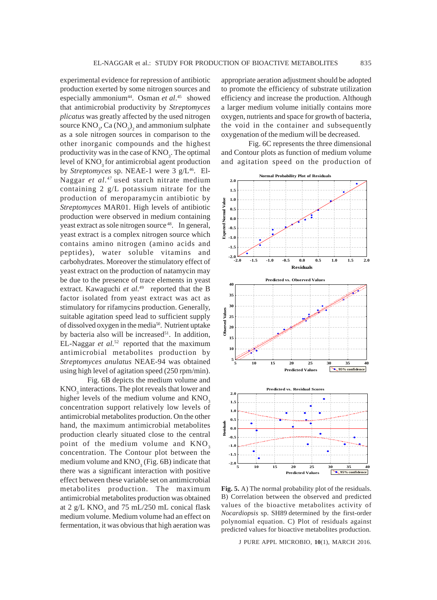experimental evidence for repression of antibiotic production exerted by some nitrogen sources and especially ammonium<sup>44</sup>. Osman *et al*.<sup>45</sup> showed that antimicrobial productivity by *Streptomyces plicatus* was greatly affected by the used nitrogen source  $\text{KNO}_3$ , Ca  $\text{(NO)}_3$ <sub>2</sub> and ammonium sulphate as a sole nitrogen sources in comparison to the other inorganic compounds and the highest productivity was in the case of  $KNO_3$ . The optimal level of KNO<sub>2</sub> for antimicrobial agent production by *Streptomyces* sp. NEAE-1 were 3 g/L<sup>46</sup>. El-Naggar *et al.*47 used starch nitrate medium containing 2 g/L potassium nitrate for the production of meroparamycin antibiotic by *Streptomyces* MAR01. High levels of antibiotic production were observed in medium containing yeast extract as sole nitrogen source<sup>48</sup>. In general, yeast extract is a complex nitrogen source which contains amino nitrogen (amino acids and peptides), water soluble vitamins and carbohydrates. Moreover the stimulatory effect of yeast extract on the production of natamycin may be due to the presence of trace elements in yeast extract. Kawaguchi *et al.*<sup>49</sup> reported that the B factor isolated from yeast extract was act as stimulatory for rifamycins production. Generally, suitable agitation speed lead to sufficient supply of dissolved oxygen in the media<sup>50</sup>. Nutrient uptake by bacteria also will be increased $51$ . In addition, EL-Naggar *et al.*52 reported that the maximum antimicrobial metabolites production by *Streptomyces anulatus* NEAE-94 was obtained using high level of agitation speed (250 rpm/min).

Fig. 6B depicts the medium volume and  $\rm{KNO}_3$  interactions. The plot reveals that lower and higher levels of the medium volume and  $KNO<sub>3</sub>$ concentration support relatively low levels of antimicrobial metabolites production. On the other hand, the maximum antimicrobial metabolites production clearly situated close to the central point of the medium volume and KNO<sub>3</sub> concentration. The Contour plot between the medium volume and  $\text{KNO}_3^{\text{}}$  (Fig. 6B) indicate that there was a significant interaction with positive effect between these variable set on antimicrobial metabolites production. The maximum antimicrobial metabolites production was obtained at 2  $g/L$  KNO<sub>3</sub> and 75 mL/250 mL conical flask medium volume. Medium volume had an effect on fermentation, it was obvious that high aeration was

appropriate aeration adjustment should be adopted to promote the efficiency of substrate utilization efficiency and increase the production. Although a larger medium volume initially contains more oxygen, nutrients and space for growth of bacteria, the void in the container and subsequently oxygenation of the medium will be decreased.

Fig. 6C represents the three dimensional and Contour plots as function of medium volume and agitation speed on the production of



**Fig. 5.** A) The normal probability plot of the residuals. B) Correlation between the observed and predicted values of the bioactive metabolites activity of *Nocardiopsis* sp. SH89 determined by the first-order polynomial equation. C) Plot of residuals against predicted values for bioactive metabolites production.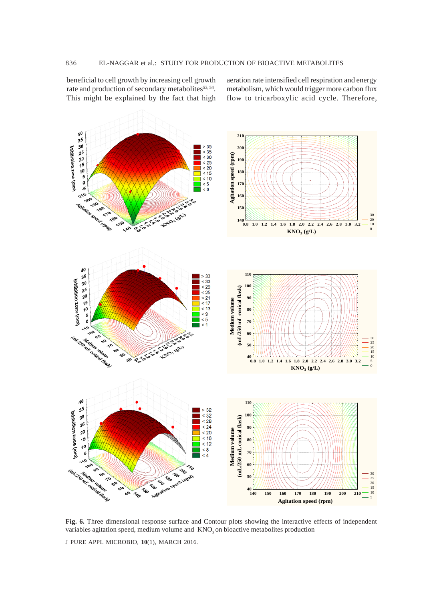beneficial to cell growth by increasing cell growth rate and production of secondary metabolites<sup>53, 54</sup>. This might be explained by the fact that high aeration rate intensified cell respiration and energy metabolism, which would trigger more carbon flux flow to tricarboxylic acid cycle. Therefore,



**Fig. 6.** Three dimensional response surface and Contour plots showing the interactive effects of independent variables agitation speed, medium volume and KNO<sub>3</sub> on bioactive metabolites production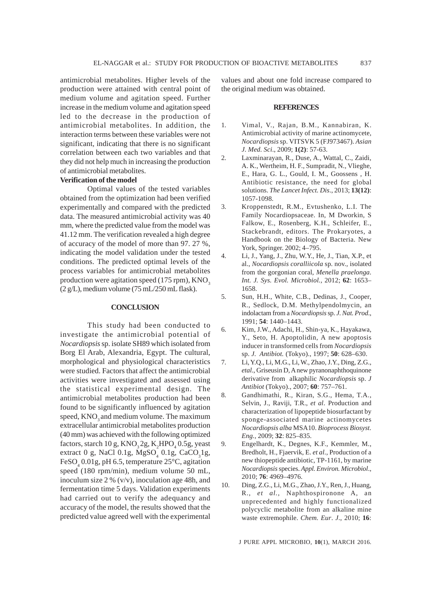antimicrobial metabolites. Higher levels of the production were attained with central point of medium volume and agitation speed. Further increase in the medium volume and agitation speed led to the decrease in the production of antimicrobial metabolites. In addition, the interaction terms between these variables were not significant, indicating that there is no significant correlation between each two variables and that they did not help much in increasing the production of antimicrobial metabolites.

## **Verification of the model**

Optimal values of the tested variables obtained from the optimization had been verified experimentally and compared with the predicted data. The measured antimicrobial activity was 40 mm, where the predicted value from the model was 41.12 mm. The verification revealed a high degree of accuracy of the model of more than 97. 27 %, indicating the model validation under the tested conditions. The predicted optimal levels of the process variables for antimicrobial metabolites production were agitation speed  $(175$  rpm),  $KNO<sub>3</sub>$ (2 g/L), medium volume (75 mL/250 mL flask).

#### **CONCLUSION**

This study had been conducted to investigate the antimicrobial potential of *Nocardiopsis* sp. isolate SH89 which isolated from Borg El Arab, Alexandria, Egypt. The cultural, morphological and physiological characteristics were studied. Factors that affect the antimicrobial activities were investigated and assessed using the statistical experimental design. The antimicrobial metabolites production had been found to be significantly influenced by agitation speed, KNO<sub>2</sub> and medium volume. The maximum extracellular antimicrobial metabolites production (40 mm) was achieved with the following optimized factors, starch 10 g,  $\text{KNO}_3\text{2g}, \text{K}_2\text{HPO}_4$  0.5g, yeast extract 0 g, NaCl 0.1g,  $MgSO_4$  0.1g, CaCO<sub>3</sub>1g, FeSO<sub>4</sub> 0.01g, pH 6.5, temperature 25°C, agitation speed (180 rpm/min), medium volume 50 mL, inoculum size 2 % (v/v), inoculation age 48h, and fermentation time 5 days. Validation experiments had carried out to verify the adequancy and accuracy of the model, the results showed that the predicted value agreed well with the experimental

values and about one fold increase compared to the original medium was obtained.

#### **REFERENCES**

- 1. Vimal, V., Rajan, B.M., Kannabiran, K. Antimicrobial activity of marine actinomycete, *Nocardiopsis* sp. VITSVK 5 (FJ973467). *Asian J. Med. Sci*., 2009; **1(2)**: 57-63.
- 2. Laxminarayan, R., Duse, A., Wattal, C., Zaidi, A. K., Wertheim, H. F., Sumpradit, N., Vlieghe, E., Hara, G. L., Gould, I. M., Goossens , H. Antibiotic resistance, the need for global solutions. *The Lancet Infect. Dis*., 2013; **13(12)**: 1057-1098.
- 3. Kroppenstedt, R.M., Evtushenko, L.I. The Family Nocardiopsaceae. In, M Dworkin, S Falkow, E., Rosenberg, K.H., Schleifer, E., Stackebrandt, editors. The Prokaryotes, a Handbook on the Biology of Bacteria. New York, Springer. 2002; 4–795.
- 4. Li, J., Yang, J., Zhu, W.Y., He, J., Tian, X.P., et al., *Nocardiopsis coralliicola* sp. nov., isolated from the gorgonian coral, *Menella praelonga*. *Int. J. Sys. Evol. Microbiol.,* 2012; **62**: 1653– 1658.
- 5. Sun, H.H., White, C.B., Dedinas, J., Cooper, R., Sedlock, D.M. Methylpendolmycin, an indolactam from a *Nocardiopsis* sp. *J. Nat. Prod*., 1991; **54**: 1440–1443.
- 6. Kim, J.W., Adachi, H., Shin-ya, K., Hayakawa, Y., Seto, H. Apoptolidin, A new apoptosis inducer in transformed cells from *Nocardiopsis* sp. *J. Antibiot.* (Tokyo)., 1997; **50**: 628–630.
- 7. Li, Y.Q., Li, M.G., Li, W., Zhao, J.Y., Ding, Z.G., *etal*., Griseusin D, A new pyranonaphthoquinone derivative from alkaphilic *Nocardiopsis* sp. *J Antibiot* (Tokyo)., 2007; **60**: 757–761.
- 8. Gandhimathi, R., Kiran, S.G., Hema, T.A., Selvin, J., Raviji, T.R., *et al*. Production and characterization of lipopeptide biosurfactant by sponge-associated marine actinomycetes *Nocardiopsis alba* MSA10. *Bioprocess Biosyst. Eng.,* 2009; **32**: 825–835.
- 9. Engelhardt, K., Degnes, K.F., Kemmler, M., Bredholt, H., Fjaervik, E. *et al.*, Production of a new thiopeptide antibiotic, TP-1161, by marine *Nocardiopsis* species. *Appl. Environ. Microbiol*., 2010; **76**: 4969–4976.
- 10. Ding, Z.G., Li, M.G., Zhao, J.Y., Ren, J., Huang, R., *et al.,* Naphthospironone A, an unprecedented and highly functionalized polycyclic metabolite from an alkaline mine waste extremophile. *Chem. Eur*. *J*., 2010; **16**: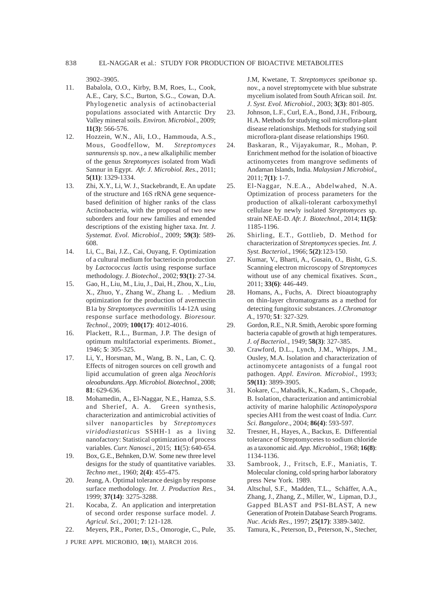3902–3905.

- 11. Babalola, O.O., Kirby, B.M, Roes, L., Cook, A.E., Cary, S.C., Burton, S.G.., Cowan, D.A. Phylogenetic analysis of actinobacterial populations associated with Antarctic Dry Valley mineral soils. *Environ. Microbiol*., 2009; **11(3)**: 566-576.
- 12. Hozzein, W.N., Ali, I.O., Hammouda, A.S., Mous, Goodfellow, M. *Streptomyces sannurensis* sp. nov., a new alkaliphilic member of the genus *Streptomyces* isolated from Wadi Sannur in Egypt. *Afr. J. Microbiol. Res*., 2011; **5(11)**: 1329-1334.
- 13. Zhi, X.Y., Li, W. J., Stackebrandt, E. An update of the structure and 16S rRNA gene sequencebased definition of higher ranks of the class Actinobacteria, with the proposal of two new suborders and four new families and emended descriptions of the existing higher taxa. *Int. J. Systemat. Evol. Microbiol*., 2009; **59(3)**: 589- 608.
- 14. Li, C., Bai, J.Z., Cai, Ouyang, F. Optimization of a cultural medium for bacteriocin production by *Lactococcus lactis* using response surface methodology. *J. Biotechol*., 2002; **93(1)**: 27-34.
- 15. Gao, H., Liu, M., Liu, J., Dai, H., Zhou, X., Liu, X., Zhuo, Y., Zhang W., Zhang L. . Medium optimization for the production of avermectin B1a by *Streptomyces avermitilis* 14-12A using response surface methodology. *Bioresour. Technol.,* 2009; **100(17)**: 4012-4016.
- 16. Plackett, R.L., Burman, J.P. The design of optimum multifactorial experiments. *Biomet*., 1946; **5**: 305-325.
- 17. Li, Y., Horsman, M., Wang, B. N., Lan, C. Q. Effects of nitrogen sources on cell growth and lipid accumulation of green alga *Neochloris oleoabundans*. *App. Microbiol. Biotechnol*., 2008; **81**: 629-636.
- 18. Mohamedin, A., El-Naggar, N.E., Hamza, S.S. and Sherief, A. A. Green synthesis, characterization and antimicrobial activities of silver nanoparticles by *Streptomyces viridodiastaticus* SSHH-1 as a living nanofactory: Statistical optimization of process variables. *Curr. Nanosci*., 2015; **11**(5): 640-654.
- 19. Box, G.E., Behnken, D.W. Some new three level designs for the study of quantitative variables. *Techno met.,* 1960; **2(4)**: 455-475.
- 20. Jeang, A. Optimal tolerance design by response surface methodology. *Int. J. Production Res.,* 1999; **37(14)**: 3275-3288.
- 21. Kocaba, Z. An application and interpretation of second order response surface model. *J. Agricul. Sci*., 2001; **7**: 121-128.
- 22. Meyers, P.R., Porter, D.S., Omorogie, C., Pule,

J PURE APPL MICROBIO*,* **10**(1), MARCH 2016.

J.M, Kwetane, T. *Streptomyces speibonae* sp. nov., a novel streptomycete with blue substrate mycelium isolated from South African soil. *Int. J. Syst. Evol. Microbiol*., 2003; **3(3)**: 801-805.

- 23. Johnson, L.F., Curl, E.A., Bond, J.H., Fribourg, H.A. Methods for studying soil microflora-plant disease relationships. Methods for studying soil microflora-plant disease relationships 1960.
- 24. Baskaran, R., Vijayakumar, R., Mohan, P. Enrichment method for the isolation of bioactive actinomycetes from mangrove sediments of Andaman Islands, India. *Malaysian J Microbiol*., 2011; **7(1)**: 1-7.
- 25. El-Naggar, N.E.A., Abdelwahed, N.A. Optimization of process parameters for the production of alkali-tolerant carboxymethyl cellulase by newly isolated *Streptomyces* sp. strain NEAE-D. *Afr. J. Biotechnol.,* 2014; **11(5)**: 1185-1196.
- 26. Shirling, E.T., Gottlieb, D. Method for characterization of *Streptomyces* species. *Int. J. Syst. Bacteriol*., 1966; **5(2)**:123-150.
- 27. Kumar, V., Bharti, A., Gusain, O., Bisht, G.S. Scanning electron microscopy of *Streptomyces* without use of any chemical fixatives. *Scan*., 2011; **33(6)**: 446-449.
- 28. Homans, A., Fuchs, A. Direct bioautography on thin-layer chromatograms as a method for detecting fungitoxic substances. *J.Chromatogr A*., 1970; **51**: 327-329.
- 29. Gordon, R.E., N.R. Smith, Aerobic spore forming bacteria capable of growth at high temperatures. *J. of Bacteriol.,* 1949; **58(3)**: 327-385.
- 30. Crawford, D.L., Lynch, J.M., Whipps, J.M., Ousley, M.A. Isolation and characterization of actinomycete antagonists of a fungal root pathogen. *Appl. Environ. Microbiol*., 1993; **59(11)**: 3899-3905.
- 31. Kokare, C., Mahadik, K., Kadam, S., Chopade, B. Isolation, characterization and antimicrobial activity of marine halophilic *Actinopolyspora* species AH1 from the west coast of India. *Curr. Sci. Bangalore*., 2004; **86(4)**: 593-597.
- 32. Tresner, H., Hayes, A., Backus, E. Differential tolerance of Streptomycetes to sodium chloride as a taxonomic aid. *App. Microbiol.,* 1968; **16(8)**: 1134-1136.
- 33. Sambrook, J., Fritsch, E.F., Maniatis, T. Molecular cloning, cold spring harbor laboratory press New York. 1989.
- 34. Altschul, S.F., Madden, T.L., Schäffer, A.A., Zhang, J., Zhang, Z., Miller, W., Lipman, D.J., Gapped BLAST and PSI-BLAST, A new Generation of Protein Database Search Programs. *Nuc. Acids Res*., 1997; **25(17)**: 3389-3402.
- 35. Tamura, K., Peterson, D., Peterson, N., Stecher,